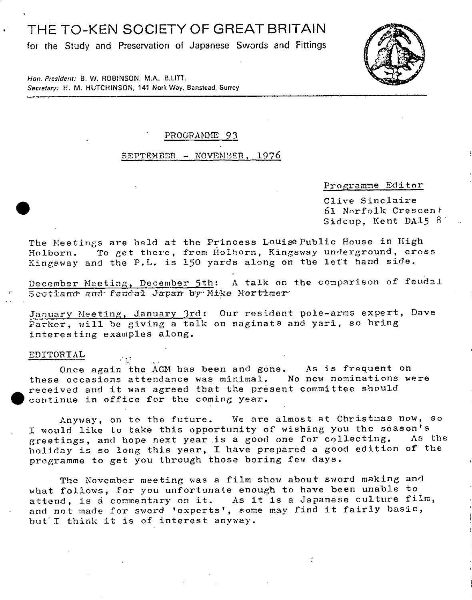# THE TO-KEN SOCIETY OF GREAT BRITAIN

**for the Study and Preservation of Japanese Swords and Fittings** 



Hon. Piesident: B. W. *ROBINSON.* MA., B.LITT. Secietary: *H.* **M. HUTCHINSON, 141 Nork** *Way,* **Banstead, Surrey** 

# PPOGPAMME 93

# SEPTEMBEP - NOVEMBER, 1976

# Programme Editor

Clive Sinclaire 61 Nnrfolk Crescent Sidcup, Kent DA15 8

The Meetings are held at the Princess Louise Public House in High Holborn. To get there, from Holborn, Kingsway underground, cross Kingsway and the P.L. is 150 yards along on the left hand side.

December Meeting, December 5th: A talk on the comparison of feudal Scotland and feudal Japan by Mike Mortimer

January Meeting, January 3rd: Our resident pole-arms expert, Dave Parker, will be giving a talk on naginata and yari, so bring interesting examples along.

# EDITORIAL

Once again the AGN has been and gàne. As is frequent on these occasions attendance was minimal. No new nominations were received and it was agreed that the present committee should continue in office for the coming year.

Anyway, on to the future. We are almost at Christmas now, so I would like to take this opportunity of wishing you the season's<br>greatings, and hope next year is a good one for collecting. As the greetings, and hope next year is a good one for collecting. holiday is so long this year, I have prepared a good edition of the programme to get you through those boring few days.

The November meeting was a film show about sword making and what follows, for you unfortunate enough to have been unable to attend, is a commentary on it. As it is a Japanese culture film, and not made for sword 'experts', some may find it fairly basic, but' I think it is of interest anyway.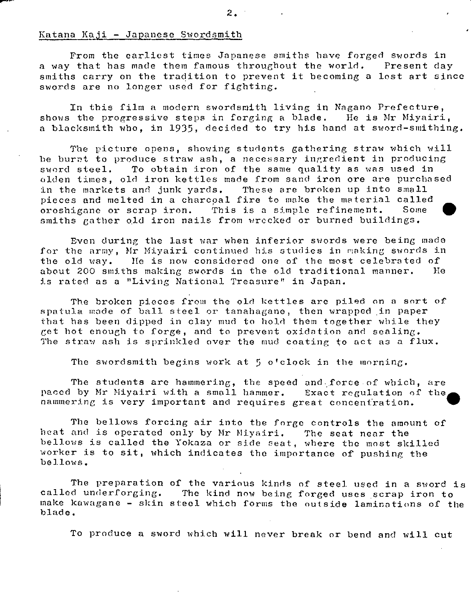# Katana Kaji - Japanese Swordamith

From the earliest times Japanese smiths have forged swords in a way that has made them famous throughout the world. Present day smiths carry on the tradition to prevent it becoming a lost art since swords are no longer used for fighting.

In this film a modern swordamith living in Nagano Prefecture, shows the progressive steps in forging a blade. He is Mr Miyairi, a blacksmith who, in 1935, decided to try his hand at sword-smithing.

The picture opens, showing students gathering straw which will be burnt to produce straw ash, a necessary ingredient in producing sword steel. To obtain iron of the same quality as was used in olden times, old iron kettles made from sand iron ore are purchased in the markets and junk yards. These are broken up into small pieces and melted in a charcpal fire to make the material called oroshigane or scrap iron. This is a simple refinement. Some smiths gather old iron nails from wrecked or burned buildings.

Even during the last war when inferior swords were being made for the army, Mr Miyairi continued his studies in making swords in the old way. lie is now considered one of the most celebrated of about 200 smiths making swords in the old traditional manner. He is rated as a "Living National Treasure" in Japan.

The brolcen pieces from the old kettles are piled on a sort of spatula made of ball steel or tanahagane, then wrapped in paper that has been dipped in clay mud to hold them together while they get hot enough to forge, and to prevent oxidation and sealing. The straw ash is sprinkled over the mud coating to act as a flux.

The swordsmith begins work at 5 o'clock in the morning.

The students are hammering, the speed and-force of which, are paced by Mr Miyairi with a small hammer. Exact regulation of the nammering is very important and requires great concentration.

The bellows forcing air into the forge controls the amount of heat and is operated only by Mr Miyairi. The seat near the bellows is called the Yokaza or side seat, where the most skilled worker is to sit, which indicates the importance of pushing the bellows.

The preparation of the various kinds of steel used in a sword is called underforging. The kind now being forged uses scrap iron to The kind now being forged uses scrap iron to make kawagane - skin steel which forms the outside laminations of the blade.

To produce a sword which will never break or bend and will cut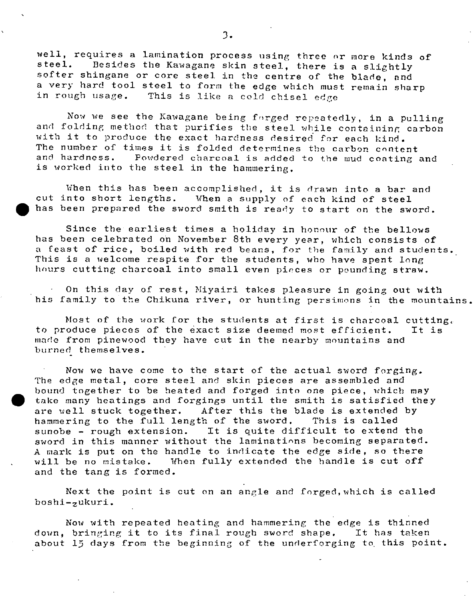well, requires a lamination process using three or more kinds of steel. Besides the Kawagane skin steel, there is a slightly Besides the Kawagane skin steel, there is a slightly softer shingane or core steel in the centre of the blade, and a very hard tool steel to form the edge which must remain sharp<br>in rough usage. This is like a cold chisel edge This is like a cold chisel edge.

Now we see the Kawagane being forged repeatedly, in a pulling and folding method that purifies the steel while containing carbon with it to produce the exact hardness desired for each kind. The number of times it is folded determines the carbon content<br>and hardness. Powdered charcoal is added to the mud coating Powdered charcoal is added to the mud coating and is worked into the steel **in** the hammering.

When this has been accomplished, it is drawn into a bar and<br>cut into short lengths. When a supply of each kind of steel When a supply of each kind of steel has been prepared the sword smith is ready to start on the sword.

Since the earliest times a holiday **in** honour of the bellows has been celebrated on November 8th every year, which consists of a feast of rice, boiled with red beans, for the family and students. This is a welcome respite for the students, who have spent long hours cutting charcoal into small even pieces or pounding straw.

On this day of rest, Miyairi takes pleasure in going out with his family to the Chikuna river, or hunting persimons in the mountains.

Most of the work for the students at first is charcoal cutting, to produce pieces of the exact size deemed most efficient. It is made from pinewood they have cut in the nearby mountains and burned themselves.

Now we have come to the start of the actual sword forging. The edge metal, core steel and skin pieces are assembled and bound together to be heated and forged into one piece, which may take many heatings and forgings until the smith is satisfied they<br>are well stuck together. After this the blade is extended by After this the blade is extended by hammering to the full length of the sword. This is called sunobe - rough extension. It is quite difficult to extend the sword **in** this manner without the laminatinns becoming separated. A mark is put on the handle to indicate the edge side, so there<br>will be no mistake. When fully extended the handle is cut off When fully extended the handle is cut off and the tang is formed.

Next the point is cut on an angle and forged, which is called  $\texttt{boshi}$ -zukuri.

Now with repeated heating and hammering the edge is thinned<br>bringing it to its final rough sword shape. It has taken down, bringing it to its final rough sword shape. about 15 days from the beginning of the underforging to this point.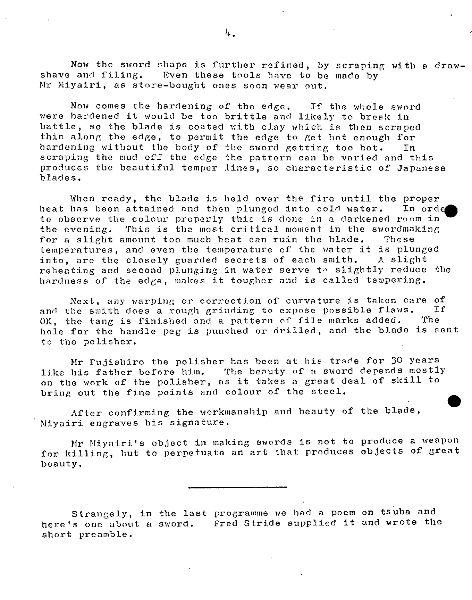Now the sword shape is further refined, by scraping with a drawshave and filing. Even these tools have to be made by Mr Miyairi, as store-bought ones soon wear out.

Now comes the hardening of the edge. If the whole sword were hardened it would be ton brittle and likely to break **in**  battle, so the blade is coated with clay which is then scraped thin along the edge, to permit the edge to get hot enough for hardening without the body of the sword getting too hot. In scraping the mud off the edge the pattern can be varied and this produces the beautiful temper lines, so characteristic of Japanese blades.

When ready, the blade is held over the fire until the proper heat has been attained and then plunged into cold water. In orde to observe the colour properly this is done in a darkened room in the evening. This is the most critical moment in the swordmaking for a slight amount too much heat can ruin the blade. These temperatures, and even the temperature of the water it is plunged<br>into, are the closely guarded secrets of each smith. A slight into, are the closely guarded secrets of each smith. reheating and second plunging in water serve to slightly reduce the hardness of the edge, makes it tougher and is called tempering.

Next, any warping or correction of curvature is taken care of<br>he smith does a rough grinding to expose possible flaws. If and the smith does a rough grinding to expose possible flaws. OK, the tang is finished and a pattern of file marks added. The hole for the handle peg is punched or drilled, and the blade is sent to the polisher.

Mr Fujishiro the polisher has been at his trade for 30 years<br>like his father before him. The beauty of a sword depends mostly The beauty of a sword depends mostly on the work of the polisher, as it takes a great deal of skill to bring out the fine points and colour of the steel.

After confirming the workmanship and beauty of the blade, Miyairi engraves his signature.

Mr Niyairi's object in making swords is not to produce a weapon for killing, but to perpetuate an art that produces objects of great beauty.

Strangely, **in** the last programme we had a poem on ts uba and here's one about a sword. Fred Stride supplied it and wrote the short preamble.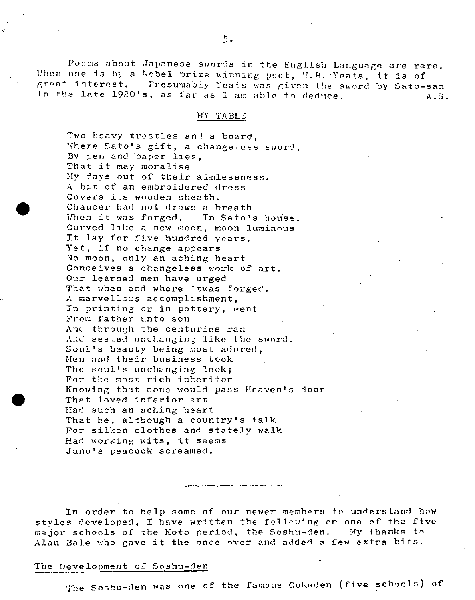Poems about Japanese swords in the English Language are rare. When one is by a Nobel prize winning poet, W.B. Yeats, it is of great interest. Presumably Yeats was given the sword by Sato-Presumably Yeats was given the sword by Sato-san in the late  $1920$ 's, as far as I am able to deduce.  $A.S.$ 

## MY TABLE

Two heavy trestles and a board, Where Sato's gift, a changeless sword, By pen and paper lies, That it may moralise My days out of their aimlessness. A hit of an embroidered dress Covers its wooden sheath. Chaucer had not drawn a breath When it was forged. In Sato's house, Curved like a new moon, moon luminous It lay for five hundred years. Yet, if no change appears No moon, only an aching heart Conceives a changeless work of art. Our learned men have urged That when and where 'twas forged. A marvellous accomplishment, In printing or in pottery, went From father unto son And through the centuries ran And seemed unchanging like the sword. Soul's beauty being most adored, Men and their business took The soul's unchanging look; For the most rich inheritor Knowing that none would pass Heaven's door That loved inferior art Had such an aching heart That he, although a country's talk For silken clothes and stately walk Had working wits, it seems Juno's peacock screamed.

In order to help some of our newer members to understand hnw styles developed, I have written the following on one of the five major schools of the Koto period, the Soshu-den. My thanks to Alan Bale who gave it the once over and added a few extra bits.

## The Development of Soshu-den

The Soshu-den was one of the faraous Gokaden (five schools) of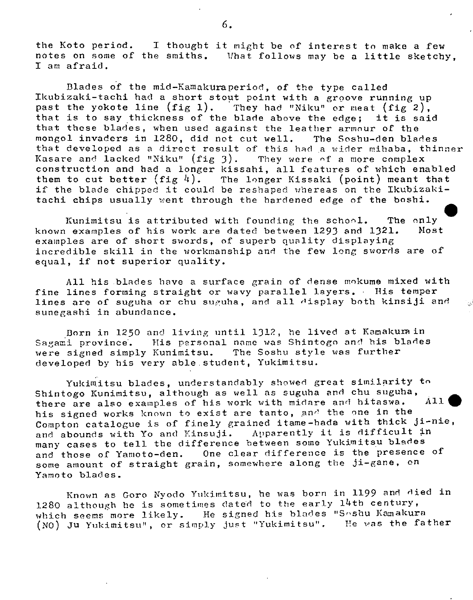the Koto period. I thought it might be of interest to make a few notes on some of the smiths. Vhat follows may be a little sketchy, I am afraid.

Blades of the mid-Kamakuraperiod, of the type called Ikubizaki-tachi had a short stout point with a groove running up past the yokote line  $(fig 1)$ . They had "Niku" or meat  $(fig 2)$ , that is to say thickness of the blade above the edge; it is said that these blades, when used against the leather armour of the mongol invaders in 1280, did not cut well. The Soshu-den blades that developed as a direct result of this had a wider mihaba, thinner Kasare and lacked "Niku"  $(fig 3)$ . They were of a more complex construction and had a longer kissahi, all features of which enabled them to cut better  $\text{fig } 4$ . The longer Kissaki (point) meant that if the blade chipped it could be reshaped whereas on the Ikubizakitachi chips usually went through the hardened edge of the boshi.

Kunimitsu is attributed with founding the school. The only lead to the standard and the standard and the standard me<br>Rexamples of his work are dated between 1293 and 1321. Most known examples of his work are dated between 1293 and 1321. examples are of short swords, of superb quality displaying incredible skill in the workmanship and the few long swords are of equal, if not superior quality.

All his blades have a surface grain of dense mokume mixed with fine lines forming straight or wavy parallel layers. His temper lines are of suguha or chu suguha, and all display both kinsiji and sunegashi in abundance.

Born in 1250 and living until 1312, he lived at Kamakura in Sagami province. His personal name was Shintogo and his blades were signed simply Kunimitsu. The Soshu style was further developed by his very able.student, Yukimitsu.

Yukimitsu blades, understandably showed great similarity to Shintogo Kunimitsu, although as well as suguha and chu suguha, there are also examples of his work with midare and hitaswa. All **•**  his signed works known to exist are tanto, and the one in the Compton catalogue is of finely grained itame-hada with thick ji-nie,<br>and abounds with Yo and Kinsuji. Apparently it is difficult in and abounds with Yo and Kinsuji. many cases to tell the difference between some Yukimitsu blades and those of Yamoto-den. One clear difference is the presence of some amount of straight grain, somewhere along the ji-gane, on Yamoto blades.

Known as Goro Nyodo Yukimitsu, he was born in 1199 and died in 1280 although he is sometimes dated to the early 14th century, which seems more likely. He signed his blades "Soshu Kamakura<br>(NO) Ju Yukimitsu", or simply just "Yukimitsu". He was the father (NO) Ju Yukimitsu", or simply just "Yukimitsu".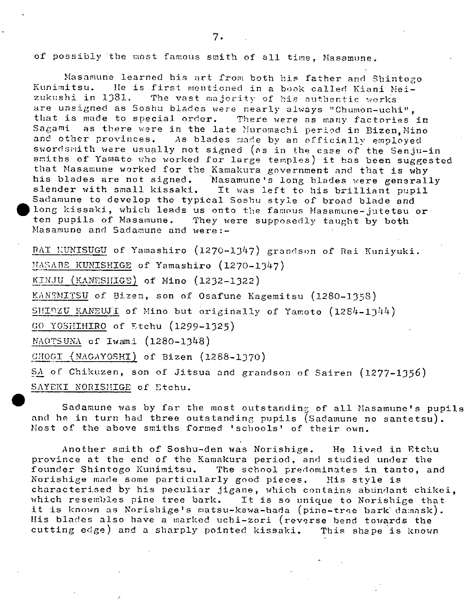of possibly the most famous smith of all time, Masamune.

Masamune learned his art from both his father and Shintogo Kunimitsu. He is first mentioned in a book called Kiani Mei-<br>zukushi in 1381. The vast majority of his authertic works The vast majority of his authentic works are unsigned as Soshu blades were nearly always "Chumon-uchi" that is made to special order. There were as many factories in<br>Sagami as there were in the late Muromachi period in Bizen Mino as there were in the late Nuromachi period in Bizen, Mino and other provinces. As blades made by an officially employed swordsmith were usually not signed (as in the case of the Senju-in smiths of Yamato who worked for large temples) it has been suggested that Masamune worked for the Kamakura government and that is why his blades are not signed. Masamune's long blades were generally slender with small kissaki. It was left to his brilliant pupil Sadamune to develop the typical Soshu style of broad blade and long kissaki, which leads us onto the famous Masamune-jutetsu or<br>ten pupils of Masamune. They were supposedly taught by both They were supposedly taught by both Masaniune and Sadamune and were:-

RAI KUNISUGU of Yamashiro (1270-1347) grandson of Rai Kuniyuki. HASABE KUNISHIGE of Yamashiro (1270-1347) KINJU (KANESHIGE) of Mino (1232-1322) KANTMITSU of Bizen, son of Osafune Kagemitsu (1280-1358) SHIDZU KANEUJI of Mino but originally of Yamoto (1284-1344) GO YOSHIHIRO of Etchu (1299-1325) NAOTSUNA of Iwami (1280-1348)  $CHOGT$  (NAGAYOSHI) of Bizen (1288-1370)  $SA$  of Chikuzen, son of Jitsua and grandson of Sairen (1277-1356) SAYEKI NORISHIGE of Etchu.

Sadamune was by far the most outstanding of all Masamune's pupils and he in turn had three outstanding pupils (Sadamune no santetsu). Most of the above smiths formed 'schools' of their own.

Another smith of Soshu-den was Norishige. He lived in Etchu province at the end of the Kamakura period, and studied under the founder Shintogo Kunimitsu. The school predominates in tanto, and Norishige made some particularly good pieces. His style is characterised by his peculiar jigane, which contains abundant chikei, which resembles pine tree bark. It is so unique to Norishige that it is known as Norishige's matsu-kawa-hada (pine-tree bark damask). His blades also have a marked uchi-zori (reverse bend towards the cutting edge) and a sharply pointed kissaki. This shape is known

7.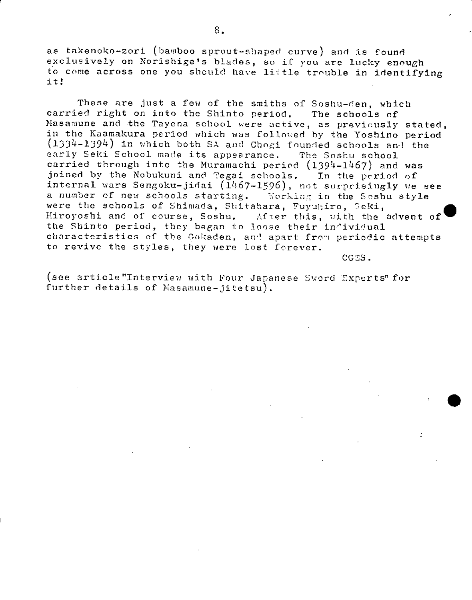as takenoko-zori (bamboo sprout-shaped curve) and is found exclusively on Norishige's blades, so if you are lucky enough to come across one you should have little trouble in identifying it!

These are just a few of the smiths of Soshu-den, which carried right on into the Shinto period. The schools of Nasamune and the Tayena school were active, as previnusly stated, in the Kaamakura period which was followed by the Yoshino period (1334-1394) in which both SA and Chogi founded schools and the<br>early Seki School made its appearance. The Soshu school early Seki School made its appearance. carried through into the Muramachi period  $(1394-1467)$  and was joined by the Nobukuni and Tegai schools. In the period of joined by the Nobukuni and Tegai schools. internal wars Sengoku-jidai  $(1467-1596)$ , not surprisingly we see a number of new schools starting. Working in the Soshu style were the schools of Shimada, Shitahara, Fuyuhiro, Seki, Hiroyoshi and of course, Soshu. After this, with the advent of the Shinto period, they began in loose their inr'ividual characteristics of the Gokaden, and apart from periodic attempts to revive the styles, they were lost forever.

CGES.

(see article "Interview with Four Japanese Sword Experts" for further details of Nasamune-jitetsu).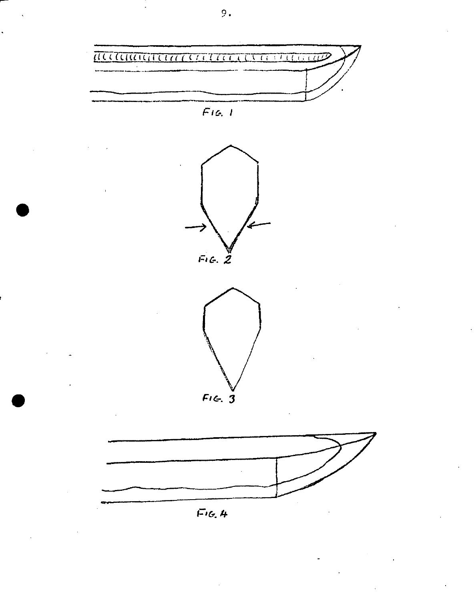

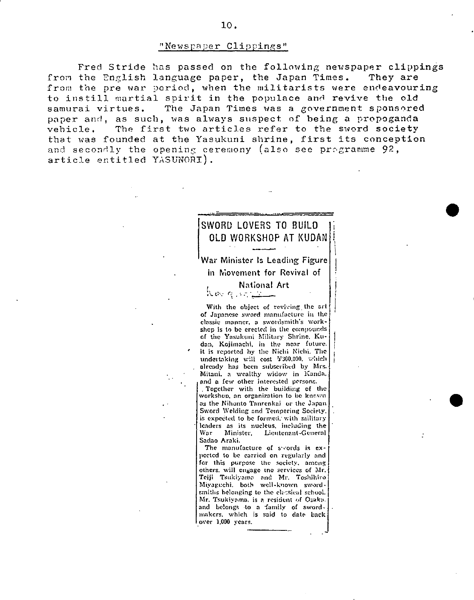Fred Stride has passed on the following newspaper clippings from the English language paper, the Japan Times. They are from the pre war period, when the militarists were endeavouring to instill martial spirit in the populace and revive the old samurai virtues. The Japan Times was a government sponsored paper and, as such, was always suspect of being a propoganda vehicle. The first two articles refer to the sword society that was founded at the Yasukuni shrine, first its conception and secondly the opening ceremony (also see programme  $92$ , article entitled YASUNORI).

# SWORD LOVERS TO BUiLD OLD WORKSHOP AT KUDAN

War Minister Is Leading Figure in Movement for Revival of

# National Art

With the object of reviving the art of Japanese sword manufacture in the classic manner, a swordsmith's workshep is to be erected in the compounds of the Yasukuni Military Shrine. Kudan, Kojimachi, in the near future. it is reported by the Nichi Nichi. The undertaking will cost ¥300.090. which already has been subscribed by Mrs. Mitani.a wealthy widow in Kanda. and a few other interested persons. • Together with the building of the workshop, an organization to be known. as the Nihonto Tanrenkai or the Japan Sword Welding and Tempering Society. is expected to be formed, with military leaders as its nucleus, including the<br>War Minister, Lieutenant-General Lieutenant-General Sadao Araki.

The manufacture of swords is expected to be carried on regularly and for this purpose the society, among others, will engage the services of Mr. Teiji Tsukiyama and Mr. Toshihiro Miyagechi. both well-known swordsmiths belonging to the elecsical school. Mr. Tsukiyama, is a resident of Osaka. and belongs to a family of swordmakers, which is said to date back over 1,000 years.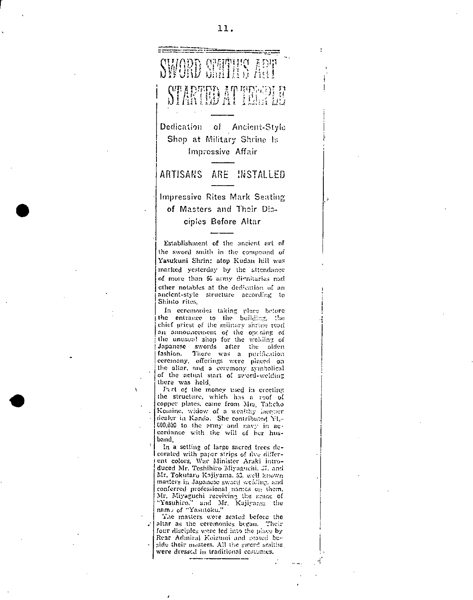# 智術 涨價值值 Dedication of Ancient-Style Shop at Military Shrine Is Impressive Affair **ARTISANS** ARE INSTALLED Impressive Rites Mark Seating of Masters and Their Disciples Before Altar Establishment of the ancient art of the sword smith in the compound of Yasukuni Shrinc atop Kudan hill was marked yesterday by the attendance of more than 60 army dignitaries nad other notables at the dedication of an ancient-style structure according to Shinto rites. In ceremonies taking place before the entrance to the building, the chief priest of the military shrine read an announcement of the opening of the unusual shop for the weking of Japanese swords after the olden fashion. There was a purification ceremony, offerings were placed on the altar, and a ceremony symbolical of the actual start of sword-welding there was held. Fart of the money used in creeting the structure, which has a roof of copper plates, came from Mrs. Takeko Komine, widow of a wealthy lacquer dealer in Kanda. She contributed YI,-600,000 to the ermy and navy in accordance with the will of her husband. In a setting of large sacred trees de-

corated with paper strips of five different colors, War Minister Araki introduced Mr. Toshihiro Miyaguchi, 37, and Mr. Tokutaro Kajiyama, 53. well known masters in Japanese sword weiding, and conferred professional names on them, Mr. Miyaguchi receiving the mane of "Yasuhiro," and Mr. Kajiyama the nam = of "Yasutoku."

The masters were seated before the altar as the ceremonies began. Their four disciples were led into the place by Rear Admiral Koizumi and geated beside their masters. All the sword smiths were dressed in traditional costumes,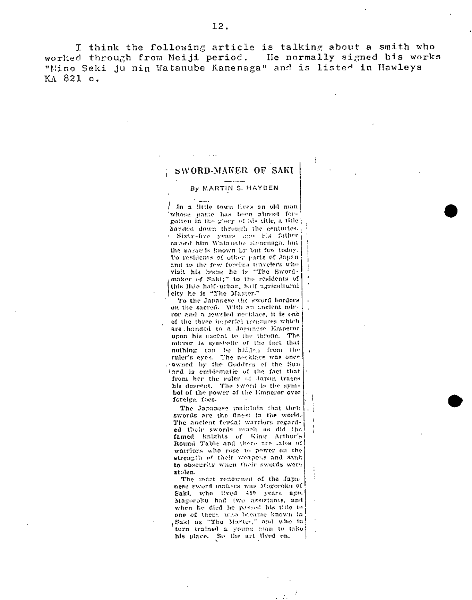I think the following article is talking about a smith who worked through from Meiji period. He normally signed bis works "Mino Seki ju nin Watanube Kanenaga" and is listed in Hawleys KA 821 c.

# SWORD-MAKER OF SAKI

#### By MARTIN S. HAYDEN

/ In a little town lives an old man whose name has been almost forgotten in the glory of his title, a title handed down through the centuries. - Sixty-five years ago his father named him Watamabe Konenaga, but the name is known by but few today. To residents of other parts of Japanand to the few foreign travelets who visit his home he is "The Swordmaker of Saki:" to the residents of this Hile half-urban, balf agricultural city he is "The Master."

To the Japanese the sword borders on the sacred. With an ancient mirror and a leweled necklace, it is oneof the three imperial treasures which are hunded to a Japanese Emperor upon his ascent to the throne. The mirror is symbolic of the fact that nothing can be hidden from the ruler's eyes. The necklace was once cowned by the Goddess of the Sun iand is emblematic of the fact that from her the ruler of Japan traces his descent. The sword is the symbol of the power of the Emperor over foreign foes.

The Japanese maintain that then swords are the finest in the world-The ancient feudal warriors regarded their swords much as did the famed knights of King Arthur's warriors who rose to power on the strength of their weapens and sank to obseurity when their swords were stolen.

The most renowned of the Japanese sword makers was Mogoroku of Saki, who lived 450 years ago. Magoroku had two assistants, and when he died he passed his title to one of them, who became known in Sakl as "The Master," and who in turn trained a young man to take his place. So the art lived on.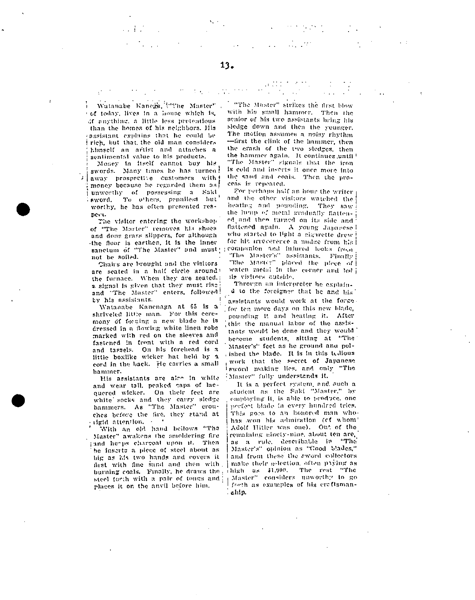\Vatanabe Nane, 't'''Vlte Master" of today. lives in a house which is, if anything, a little less pretentious than the homes of his neighbors. His assistant explains that he could be rich, but that, the old man consider,, himself an artist and attaches a sentimental value to his products.

None)' In itself cannot buy his swords. Many times he has turneo!  $\lambda$  away prospect; e customers with  $\lambda$ money because he regarded them as unworthy of possessing a Saki sword. To others, penulless but worthy, he has often presented respet".

The visitor entering the workshop of "The Master" removes his shoes and dons grass slippers, for although 'the floor is earthen, it is the inner sanctum of "The Master" and must not be soiled.

Chairs are brought and the visitors are seated in a half circle around! the furnace. when they are seated. a signal is given that they must rise and "The Master" enters, followed! by his nsslslants,

\Vataoahe Kanenaga. at 65 is a shriveled little man. For this ceremony Of to, ging a new blade he is dressed in a flowIng white linen robe marked with red on the sleeves and fastened In front with a red cord and tassels. On his forehead is a little boxlike wicker hat held by cord in the back. He carries a small hammer.

His assistants are alre in white and wear tall, peaked caps of lacquered wIcker. On their feet are white socks and they carry sledge hammers. As "The Master" crouc'ncs before the fire, they stand at rigid attention.

With an old hand bellows "The Master" awakens the smoldering fire and he ps charcoal upon it. Then he inserts a piece of steel about as big as lifs two hands and covers it first with fine sand and then with burning coals. Finally, he draws the. steel forth with a pair of tongs and : places it on the anvil before him.

"The Master" strikes the first blow with his small hammer. Then the senior of his two assistants bring his sledge down and then the younger. The motion assumes a noisy rhythm -first the clink of the hammer, then the crash of the two sledges, then the hammer again. It continues until '''The Master'' signals that the iron is cold and inserts it once more into the sand and coals. Then the process is repealed.

For perhaps half an hour the writer and the other visitors watched the heating and pounding. They saw the lump of metal gradually flattened and then turned on its side and flattened again. A young Japanese who started to light a cigarette drew for his irreverence a nudge from his (of in) irreverties a angue from his<br>companion, and injured looks, from<br>"The Moster's" assistants. Finally "The Master" placed the piece of ienten metal in the corner and led iis visitors cutside.

Through an interpreter he explain-4 to the foreigner that he and Lis

assistants would work at the force. for ten more days on this new blade, pounding It an'l heating it. After this the manual labor of the assistants would be done and they would hecome students, sitting at "The Master's' feet as he ground anu p0! ished the blade. It is In this tedious work that the secret of Japanese sword making lies, and only "The Master" fully understands it.

It is a perfect system, and such a student as the Saki "Master," by employing It, is able to produce, one perfect blade in every hundred tries. This goes to an honored man who has won his admiration (cf whom) Adolf Hitler was one). Out of the remaining ninety-nine, about ten are, as a rule, describable in "The Master's" opinion as "Cood blades," and from these the sword collectors make their selection, often plying as high as 41900. The rest ''Tue Master" considers unworthy to go forth as examples of his creftsman-&tip.

13.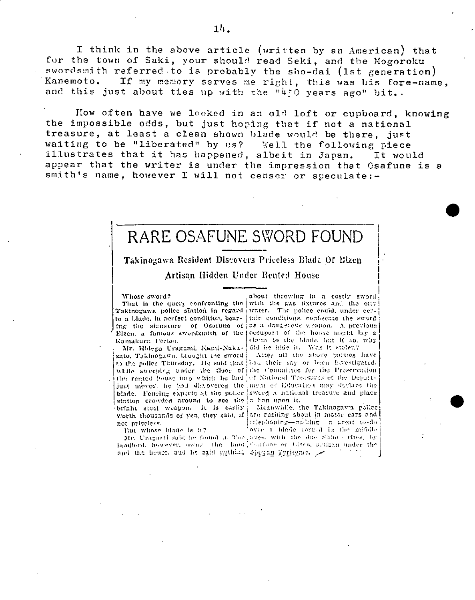I think in the above article (written by an American) that for the town of Saki, your should read Seki, and the Mogoroku swordsmith referred to is probably the sho-dai (1st generation) If my memory serves me right, this was his fore-name, Kanemoto. and this just about ties up with the "4"0 years ago" bit.

How often have we looked in an old loft or cupboard, knowing the impossible odds, but just hoping that if not a national treasure, at least a clean shown blade would be there, just waiting to be "liberated" by us? Well the following piece illustrates that it has happened, albeit in Japan. It would appear that the writer is under the impression that Osafune is a smith's name, however I will not censor or speculate:-

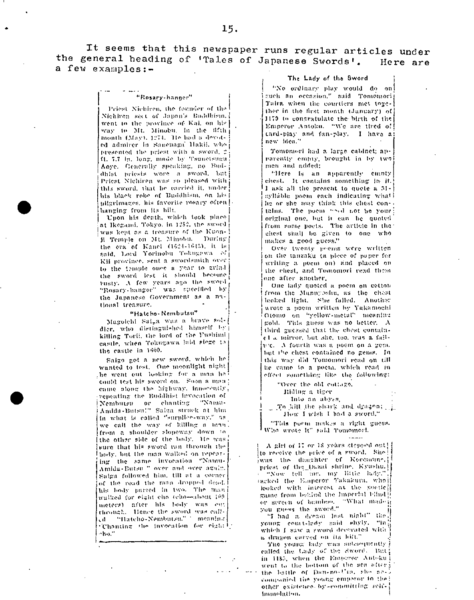It seems that this newspaper runs regular articles under the general heading of 'Tales of Japanese Swords'. Here are a few examples:-

## "Rosary-hanger"

Priest Nichlren, the founder of the Nichiren sect of Japon's Buddhism. went to the province of Kai, on his way to Mt. Minobu, in the fifthmonth (May), 1274. The had a devoted admirer in Sanenaga Hakli, who presented the priest with a sword, 2 ft. 7.7 in. long, made by Tsunetsugu Aoye. Generally speaking, no Buddhist priests wore a sword, but Priest Nichiren was so pleased with this sword, that he carried it, under his black robe of Buddhism, on his pilgrimages, his favorite rosary often |hanging from its hilt.

Upon his death, which took place at Ikegami, Tokyo, in 1232, the sword was kept as a treasure of the Kuonil Temple on Mt. Minobu. During the era of Kanel (1624-1643), it is said, Lord Yorinobu Tokugawa of Kil province, sent a swordsmith over to the temple once a year to grind. the sword lest it should become rusty. A few years ago the sword "Rosary-hanger" was specified by the Japanese Government as a nutional treasure.

#### "Hatcho-Nembutsu"

Magolchi Saiga was a brave soldier, who distinguished himself by killing Torii, the lord of the Fushimi castle, when Tokugawa laid siege to the castle in 1600.

Saigo got a new sword, which he wanted to test. One meenlight night he went out looking for a man he could test his sword on. Soon a men! came along the highway, innocently, repeating the Buddhist invocation of Nembursu or chanting "Namu-Amida-Butsu!" Saiga struck at him in what is called "surplice-way," as we call the way of killing a man. from a shoulder slopeway down to the other side of the body. He was sure that his sword can through the body, but the man walked on repeating the same invocation "Namu-Amida-Butsu " over and over again. Salga followed him, till at a corner of the road the man dropped dead. his body parted in two. The many walked for eight cho (cho-about 109) meters) after his body was ent through. Hence the sword was callcd "Hatcho-Nembutsu." " meaning "Chanting the invocation for eight in  $\sim$ ho. $^{\prime\prime}$ 

## The Lady of the Sword

"No ordinary play would do on zuch an occasion," said Tomomori Tairs when the courtiers met together in the first month (January) of 1170 to congratulate the birth of the Emperor Antoku. "We are tired of card-play and fan-play. I have at new ldea."

Tomomori had a large cabinet; apparently empty, brought in by two men and added:

"Here is an apparently empty chest. It contains something in it. I ask all the present to quete a 51syllable poem each indicating what? he or she may think this chest contains. The poem "and not be your original one, but it can be quoted from some poets. The article in the chest shall be given to one who makes a good guess."

Over twenty peens were written on the tanzaku (a piece of paper for writing a poem on) and placed on the chest, and Tomomori read them ene after another.

One lady quoted a poem on cotton from the Mannyoshu, as the chest leoked light. She failed. Another wrote a poem written by Yakamochi Otomo on "yellow-metal" meaning gold. This guess was no better. A third guessed that the chest containel a mirror, but she, too, was a failve. A fourth was a poem on a gem. but the chest contained no genis. In this way did Tomomori read on till he came to a poem, which read in effect something like the following:

> "Over the old cottage, Riding a tiger

Into an abyss.

To kill the shark and dragen; i How I wish I had a sword."

"This porm makes a right guess. Who wrote it" said Tomomorl.

 $\vdash$  A girl of 17 or 18 years stepped out! [ to receive the price of a sword. She! was the diagrater of Koremanne. priest of the Dazal shrine, Kyushu. "Now tell me, my little have" racked the Emperor Takakura, whoil looked with interest at the poeticigaing from behind the Imperial Flind or sereen of bamboo. "What madeli you guess the sword."

"I had a dream last night" the young court-ledy said shyly, "in which I saw a sword decerated with a dragon carved on its hilt."

The young lady was subsequently ! called the Lady of the sword. But in 1185, when the Emperor Antoku went to the bottom of the sea after ; the battle of Dan-no-Uro, she are companied the young emperor in the other existence by-eommitting selfimmolation.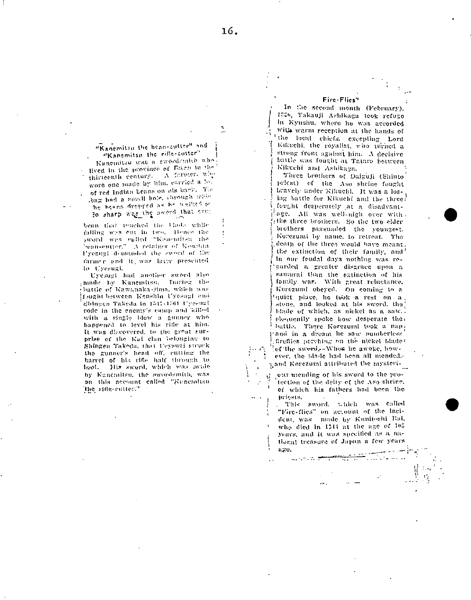"Kanemitsu the bean-cutter" and "Kanemitsu the rifle-cutter"

Kanemitau was a swordchuith who lived in the province of Euch in the<sup>1</sup> thirteenth century. A farmer, why wore one made by him, carried a beof red Indian beans on his back. The long had a small hole, through whis the beans dropped as he walked or so sharp was the aword that ever

bean that touched the Unde while falling was out in two. Hence the sword was called "Kenemitsu the Source of Contractor of Kenshin Uyenigl demanded the sword of the farmer and it, was large presented to Userual.

Uyesugi had another sword also made by Kanemitsu. Darieg the battle of Kawanaka-jima, which was fought between Kenshin Uyesagi and Shingen Takeda in 1547-1561 Upesuzi rode in the enemy's camp and killed with a single blow a gunner who happened to level his rifle at him. It was discovered, to the great surprise of the Kai clan belonging to Shingen Takeda, that Ueysuzi struck the gunner's head off, cutting the barrel of his rifle half through to boot. His sword, which was made by Kanenilsu, the swordsmith, was on this account called "Kancmitsu the rifle-cutter."

#### Fire-Flies"

In the second month (February), 1236, Takauji Ashikaga took refuge in Kyushu, where he was accorded with warm reception at the hands of the local chiefs, excepting Lord Kikuchi, the royalist, who turned a strong front against him. A decisive battle was fought at Tatara between Kikuchi and Ashikaga.

Three brothers of Daiguji (Shinto) priest) of the Aso shrine fought bravely under Kikuchi. It was a losing battle for Kikuchi and the three. forght desperately at a disadvantage. All was well-nigh over with. the three brothers. So the two elder brothers pursuaded the youngest. Korezumi by name, to retreat. The death of the three would have meant, the extinction of their family, and lu our feudal days nothing was regarded a greater disgrace upon a samural than the extinction of his family was. With great reluctance, Kerezumi obeyed. On coming to a quiet place, he took a rest on a. stone, and looked at his swerd, the blade of which, as nickel as a saw. elequently spoke how desperate the. battle. There Korezumi took a nappand in a dream he saw numberless fireflies perching on the nickel blade! of the sweed,-When he awoke, how-

ever, the blade had been all mended. Land Rorezumi attributed the mysteri-

Ĵ,

Ŵ

ous mending of his sword to the protection of the delty of the Aso shrine, of which his fathers had been the priests.

This sword, thich was called "Fire-flies" on account of the incident, was made by Kunitoshi Bal. who died in 1344 at the age of 105 years, and it was specified as a national treasure of Japan a few years  $\mathfrak{u}_c, \mathfrak{v}_c$ 

ko eraza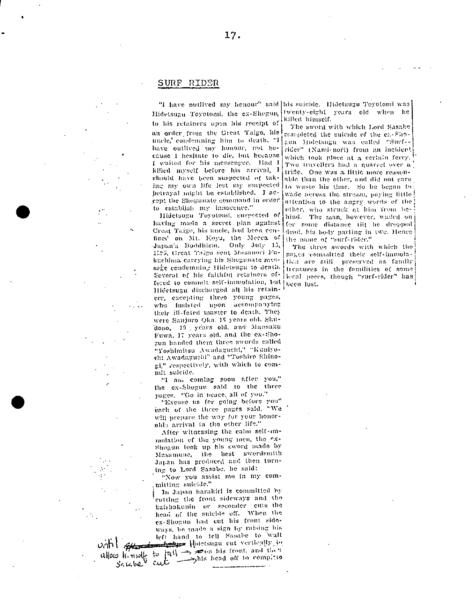# SURF RIDER

Hidetsugu Toyotomi, the ex-Shegun, to his retainers upon his receipt of an order from the Great Taigo, his uncle," condemning him to death. "I have outlived my honour, not hecause 1 hesitate to die, but because I waited for his messenger. Had I killed myself before his arrival, I should have been suspected of taking my own life lest my suspected betrayal might be established. I accept the Shogunate command in order to estabijsh my innocence."

Hidetsugu Toyotomi, suspected of having made a secret plan against Creat Taige, his uncle, had been confined on Mt. Eoya, the Mecca of Japan's Buddhism. Only July 15, 1595, Great Talgo sent Masanori Fukuchima carrying his Shegunate message condemning Hidetsugu to death. Several of his falthful retainers offered to commit self-immolation, but been lost. Hidetsugu discharged all his retainerr, excepting three young pages, who insisted upon accompanying their ill-fated master to death. They were Sanjuro Oka. 18 years old. Shudono, 19 yéars old, and Mansaku Fuwa, 17 years old, and the ex-Shogun handed them three swords called "Yoshimitsu Awadaguchi," "Kuniyothi Awadaguchi" and "Toshiro Shinogi," respectively, with which to commit suicide.

"I am coming soon after you," the ex-Shogun said to the three pages. "Go in neace, all of you."

"Excuse us for going before you" each of the three pages said, "We will prepare the way for your honorable arrival in the other life."

After witnessing the calm self-immolation of the young men, the ex-Shogun took up his sword made by Masamune, the best swordsmith Japan has produced and then turning to Lord Sasabe, he said:

"Now you assist me in my committing suicide."

In Japan harakiri is committed by cutting the front sideways and the kaishakunin or seconder cuts the head of the suicide off. When the ex-Shogun had cut his front sideways, he made a sign by raising his left hand to tell Sasabe to walt And the Hidelsupu cut vertically in allows limed to fall is seen his front, and then cut. and then the most content and then

"I have outlived my henour" said his suicide. Hidetsugu Teyetomi was twenty-eight years old when he killed himself.

> The sword with which Lord Sasabe completed the suicide of the ex-Shoaun Hidetsugu was called "Sorf-rider" (Nami-nori) from an incident which took place at a certain ferry. Two travellers had a quarrel over a trifle. One was a little more reasonable than the other, and did not care to waste his time. So he began to wade across the stream, paying little attention to the angry words of the other, who struck at him from behind. The man, however, waded on for some distance tiil he dropped dead, his hody parting in twe. Hence the name of "surf-rider."

> The three swords with which the pages committed their self-immobation are still preserved as family treasures in the familities of some lecal peers, though "surf-rider" has

 $3.6662$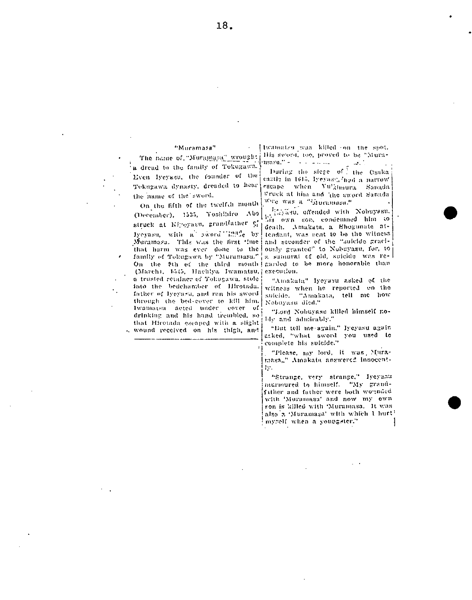## "Muramasa"

The name of "Muramasa" wrought a dread to the family of Tokugawa. Even lyeyasu, the founder of the Tekngawa dynasty, dreaded to hear the name of the sword.

On the fifth of the twelfdi month (December), 1535, Yoshihiro Abe struck at Kipoyasu, grandfather Sf Iveyasu, with a sword made by Muramasa. This was the first time that harm was ever done to the family of Tekugawa by "Muramasa." On the 2th of the third month garded to be more honorable than (March), 1545, Hachiya Iwamatsu, j execution. a trusted retainer of Tokugawa, stole into the bedchamber of Hirotada. father of lyeyasa, and ran his swordthrough the bed-cover to kill him. Iwamatsu acted under cover of drinking and his hand trembled, so that Hirotada escaped with a slight . wound received on his thigh, and

[Iwainatsu was killed on the spot. His swerd, too, proved to be "Mura- $\frac{1}{2}$  mass  $\frac{1}{2}$  =  $\frac{1}{2}$  =  $\frac{1}{2}$  =  $\frac{1}{2}$  =  $\frac{1}{2}$  =  $\frac{1}{2}$  =  $\frac{1}{2}$  $\sim 10$ 

During the slege of the Osaka caztle in 1615, lyeyasv. 'had a narrow' escape when Vu'kimura Sanada Sruck at him and 'the sword Sanada' wire was a "Muramasa."

linguistic offended with Nobuyasu. death. Amakata, a Shogunate attendant, was sent to be the witness and seconder of the "suicide graciously granted" to Nobuyasu, for, to a sumurai of old, suicide was re-

"Amakata" Iyeyasu asked of the witness when he reported on the suicide. "Amakata, tell me how Nobuyasu died."

"Lord Nobuyasu killed himself nobly and admirably."

"But tell me again," Iyeyasu again<br>atked, "what sword you used to complete his suicide."

"Please, my lord, it was Muramasa," Amakata answered innocenth.

"Strange, very strange," Iyeyasu murinured to himself. "My grandfither and father were both wounded with 'Muramasa' and now my own son is killed with 'Muramasa. It was also a 'Muramasa' with which I hurt! myself when a youngster."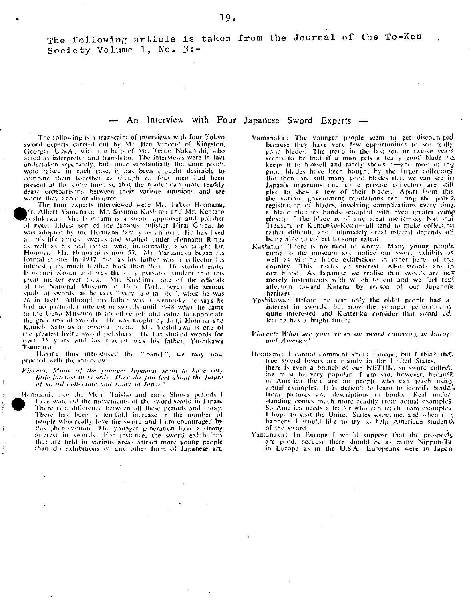The following article is taken from the Journal of the To-Ken Society Volume 1,  $No. 3:-$ 

# An Interview with Four Japanese Sword Experts -

The following is a transcript of interviews with four Tokyo sword experts carried out by Mr. Ben Vincent of Kingston, Georgia, U.S.A., with the help of Mr. Teruo Nakanishi, who acted as interpreter and translator. The interviews were in fact andertaken separately, but, since substantially the same points<br>were raised in each case, it has been thought desirable to combine them together as though all four men had been present at the same time, so that the reader can more readily draw' comparisons between their various opinions and see where they agree or disagree.

The four experts interviewed were Mr. Takeo Honnami, fr. Albert Yamanaka, Mr. Susumu Kashima and Mr. Kentaro Yoshikawa. Mr. Honnami is a sword appraiser and polisher of note. Eldest son of the famous polisher Hirai Chiba, he was adopted by the Honnami family as an heir. He has lived all his life amidst swords and studied under Honnami Ringa as well as his real father, who, incidentally, also taught Dr.<br>Homma. Mr. Homnami is now 57. Mr. Yamanaka began his<br>formal studies in 1947, but, as his father was a collector his interest goes much further back than that. He studied under Honnami Koson and was the only personal student that this great master ever took. Mr. Kashima, one of the officials of the National Museum at Ueno Park, began the serious<br>study of swords, as he says "very late in life", when he was 26 in fact! Although his father was a Kentei-ka he says he had no particular interest in swords until 1948 when he came to the Ueno Museum in an office job and came to appreciate the greatness of swords. He was taught by Junji Homma and Kanichi Sato as a personal pupil. Mr. Yoshikawa is one of the greatest living sword polishers. He has studied swords for over 35 years and his teacher was his father, Yoshikawa Tsuncitro.

Having thus introduced the "panel", we may now proceed with the interview:

ż

 $\overline{1}$ 

 $\ddot{\phantom{a}}$ 

Vincent: Many of the younger Japanese seem to have very little interest in swords. How do you feel about the future of sword collecting and study in Japan?

Honnami: For the Meiji, Taisho and early Showa periods I have watched the movements of the sword world in Japan. There is a difference between all these periods and today. There has been a ten-fold increase in the number of people who really love the sword and I am encouraged by this phenomenon. The younger generation have a strong interest in swords. For instance, the sword exhibitions that are held in various areas attract more young people than do exhibitions of any other form of Japanese art.

- Yamanaka: The younger people seem to get discouraged because they have very few opportunities to see really good blades. The trend in the last ten or twelve years seems to be that if a man gets a really good blade he keeps it to himself and rarely shows it-and most of the good blades have been bought by the larger collectors But there are still many good blades that we can see in Japan's museums and some private collectors are still glad to shew a few of their blades. Apart from this the various government regulations requiring the policz registration of blades, involving complications every time. a blade changes hands-coupled with even greater come plexity if the blade is of any great merit-say National Treasure or Kumenko-Kozai--all tend to make collecting rather difficult, and wultimately--real interest depends on being able to collect to some extent.
- Kashima: There is no need to worry. Many young people come to the museum and notice our sword exhibits as well as visiting blade exhibitions in other parts of the country. This creates an interest. Also swords are in our blood. As Japanese we realise that swords are not merely instruments with which to cut and we feel real<br>aflection toward. Katana by reason of our Japanese heritage.
- Yoshikawa: Before the war only the older people had a interest in swords, but now the younger generation is quite interested and Kenter-ka consider that sword co. lecting has a bright future.
- Vincent: What are your views on sword collecting in Europ and America?
- Honnami: I cannot comment about Europe, but I think thit true sword lovers are mainly in the United States, there is even a branch of our NBTHK, so sword collect, ing must be very popular. I am sad, however, because in America there are no people who can teach using actual examples. It is difficult to learn to identify blades from pictures and descriptions in books. Real under standing comes much more readily from actual examples So America needs a leader who can teach from examples I hope to visit the United States sometime, and when th<sub>15</sub> happens I would like to try to help American students of the sword.
- Yamanaka: In Europe I would suppose that the prospects are good, because there should be as many Nippon-To in Europe as in the U.S.A. Europeans were in Japan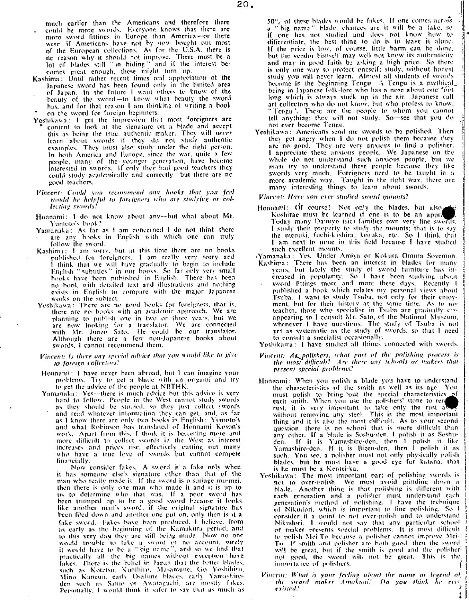much earlier than the Americans and therefore there could be more swords. Everyone knows that there are more sword fittings in Europe than America--or there were, if Americans have not by now bought out most of the European collections. As for the U.S.A. there is no reason why it should not improve. There must be a lot of blades still "in hiding<sup>+</sup> and if the interest becomes great enough, these might turn up.

- Kashima: Until rather recent times real appreciation of the Japanese sword has been found only in the limited area of Japan. In the future I want others to know of the beauty of the sword - to know what beauty the sword has, and for that reason  $\boldsymbol{l}$  am thinking of writing a book on the sword for foreign beginners.
- Yoshikawa: I get the impression that most foreigners are content to look at the signature on a blade and accept this as being the true, authentic maker. They will never learn about swords if they do not study authentic examples. They must also study under the right person. In both America and Europe, since the war, quite a few people, many of the younger generation, have become interested in swords. If only they had good teachers they could sludv academically and correctly—but there are no good teachers.
- Vincent: Could you recommend any books that you feel would be helpful to foreigners who are studying or collecting swords?
- Honnami: I do not know about any--but what about Mr. Yumoto's book?
- Yamanaka: As far as I am concerned I do not think there are any books in English with which one can truly follow the sword.
- Kashima: I am sorry, but at this time there are no books published for foreigners. I am really very sorry and I think that we will have gradually to begin to include English " subtitles " in our hooks. So far only very small books have been published in English. There has been no book with detailed text and illustrations and nothing exists in English to compare with the major Japanese works on the subject.
- Yoshikawa: There are no good books for foreigners, that is, there are no books with an academic approach. We are planning to publish one in two or three years, but we<br>are now looking for a translator. We are connected with Mr. Junzo Sato. He could be our translator.<br>Although there are a few non-Japanese books about swords. I cannot recommend them.
- Vincent: Is there any special advice that you would like to give to foreign collectors.'
- Honnami: I have never been abroad, but I can imagine your problems. Try to get a blade with an origami and try to ret the advice of the people at N 8TH K.
- Yamanaka: Yes--there is much advice but this advice is very hard to follow. People in the West cannot study swords as they should be studied, so they just collect swords and read whatever information they can get, and, as far as  $\bf{l}$  know there are only two books in English: Yumoto's and what Robinson has translated of Ilonnansi Koson's work. Apart from this, I think it is becoming more and more dillicult to collect swords in the West as interest increases and prices rise, effectively cutting out many who have a true love of swords but cannot compete financially.

Now consider fakes. A sword is a fake only when it has someone etse's signature other than that of the man who really made it. If the sword is o-suriage mu-mei, then there is only one man who made it and it is up to us to determine who that was. If a poor sword has been trumped up to he a good sword because it looks like another man's sword: if the orieinal signature has been filed down and another one put on, only then is it a fake ssvord. Fakes base been produced. I believe, from as early as the beginning of the Kamakura period, and to this very day they are still being made. Now no one would trouble to take a sword of no account, surely<br>it would have to be a "big name", and so we find that practically all the big names without exception have fakes. There is the belief in Japan that the better blades, such as Kotetsu. Kunihiro. Masamune. Go Yoshihiro, Mino Kaneuji, early Osafune blades, early Yamashiro-<br>den such as Sanio or Awataguchi, arc mostly fakes. Personally. I would think it safer to say that as much as

50% of these blades would be fakes. If one comes across<br>a "big name" blade, chances are it will be a fake, so if one has not studied and does not know how to differentiate, the best thing to do is to leave it alone. If the price is low, of course, little harm can be done. but the vendor himself may well not know its authenticity and may in good faith be asking a high price. So there is only one way to protect oneself; study, without honest study you will never learn. Almost all students of swords hecome in the hecinning Tengu. A Tengu is a mythical being in Japanese folk-lore who has a nose about one foot long which is always stuck up in the air. Japanese call art collectors who do not know, but who profess to know, "Tengu'. These are the people to whom you cannot tell anything; they will not study. So--see that you do not ever become 'l'engui.

- Yoshikawa: Americans send me swords to be polished. Then they get angry when I do not polish them because they are no good. They are very anxious to find a polisher, I appreciate these anxious people. We Japanese on the whole do not understand such anxious people, but we must try to understand these people because they like swords very much. Foreigners need to be taught in a more academic way. Taught in the right way, there are many interesting things to learn about swords,
- Vincent: Have you ever studied sword mounts?
- Honnami: Of course! Not only the blades, but also, Koshirae must he learned if one is to be an appr. Today many Daimyo (sic) families own very fine swords. I study their property to study the mounts: that is to say the menuki. fuchi-kashira. kozuka, etc. So I think that I am next to none in this field because I have studied such excellent mounts.
- Yamanaka: Yes. Under Amiya or Kokura Omura Sovemon.<br>Kashima: There has been an interest in blades for many
- years. but lately the study of sword furniture has increased in popularity. So I have been studying about sword fittings more and more these days. Recently I published a book which relates my personal views about Tsuba. I want to study Tsuba, not only for their enjoyment, but for their history at the same time. As to my teacher, those who specialise in Tsuba are gradually disappearing so I consult Mr. Sato, of the National Museum. whenever I have questions. The study of Tsuba is not )'et as systematic as the study of swords. so that I need to consult a sneeialist occasionally.
- Yoshikawa: I have studied all things connected with swords.
- Vincent: As polishers, what part of the polishing process is the most difficult? .4re there any schools or makers that. present special problems?
- Honnami: When you polish a blade you have to understand the characteristics of the smith as well as its age. You must polish to bring out the special characteristics c each smith. When you use the polishers' stone to rem rust, it is very important to take only the rust a without removing any steel. This is the most important thing and it is also the most difficult. As to your second question, there is no school that is more difficult than any other. If a blade is Soshu-den. I polish it as Soshuden. If it is Vamashiro-den. then I polish it like Yamashiro-den. If it is Bizen-den, then I polish it as such. You see, a polisher must not only physically polish blades, but he must have a good eye for katana, that is he must he a Kentei-ka.
- Yoshikawa: The most important part of polishing swords is not to over-polish. We must avoid grinding down a blade. Another thing is that polishing is different with each generation and a polisher must understand each generation's method of polishung I have the technique of Nikodori, which is important to line polishing. So I consider it a point to not over-polish and to understand Nikudori. I would not say that any particular school or maker presents special problems. It is most difficult to polish Mei-To because a polisher cannot improve Mei--To. If smith and polisher are both good, then the sword will be great, but if the smith is good and the polisher' not good, the sword will not be great. This is the, importance of polisticrs.
- Vincent: What is your feeling about the name or legend of, the sword maker Amakuni? Do you think he evel i's-i.srrrl.'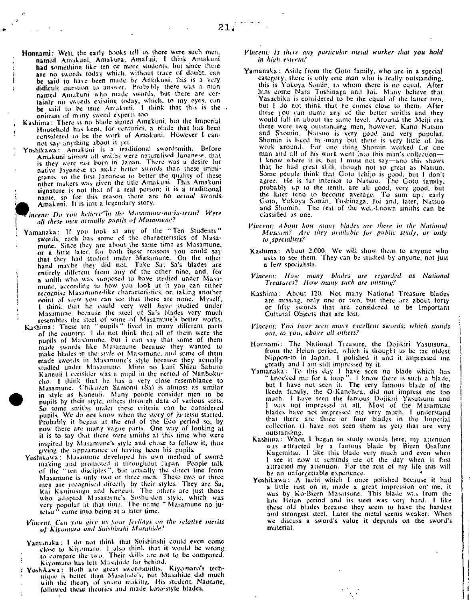- Honnami: Well, the early books tell us there were such men. named Atnakuni. Amakura, Amafuji. I think Arnakuni had somethine like ten or more students, but since there are no swords today which, without trace of doubt, can be said to have been made by Amakuni, this is a very difficult question to answer. Probably there was a man named Anukuni who made swords, but there are certainly no swords existing today, which, to my eyes, can<br>be said to be true Amakuni. I think that this is the opinion of many sword experts too,
- Kashima: There is no blade signed Amakuni, but the Imperial Household has kept. for centuries, a blade that has been considered to be the work of Aniakuni. However I can' not say anything about it yet.
- Yoshikawa: Amakuni is a traditional swordsmith. Before Ansakuni almost all smiths were naturalised Jananese, that is they were not born in Japan. There was a desire for native Japanese to make better swords than these immigrants, so the first Japanese to better the quality of these other makers was given the title Amakuni. This Amakoni signature is not that of a real person: it is a traditional name, so for this reason there are no actual swords Amakuni. It is just a legendary story.

## incent: Do you believe<sup>rt</sup>in the Masamune-no-in-teisu? Were all these men actually pupils of Masamune?

- Yamanaka: If you look at any of the "Ten Students" swords, each has some of the characteristics of Masamune. Since they are about the same time as Masamune, or a little later, for both these reasons you could say that they had studied under Masamune. On the other hand maybe they did not. Take Sa; Sa's blades are entirely different from any of the other nine, and, for a smith who was supposed to have studied under Masamune, according to how you look at it you can either recognise Masamune-like characteristics, or. taking another noint of view you can see that there are none. Myself, I think that he could very well have studied under Masamune, because the steel of Sa's blades very much resembles the steel of some of Masamune's better works.<br>Kashima: These ten " nupils " lived in many different parts of the cotintry. I do not think that all of them were the pupils of Masamune. but I can say that some of them made swords like Masamune because they wanted to
- make blades in the style of Masamune, and some of them made swords in Masamune's style because they actually studied under Masamune. Mino no kuni Shizu Saburo Kaneuii I consider was a pupil in the period of Nanbokudin. I think that he has a very close resemblance to Masamune. Chikozen Samonji (Sa) is almost as similar in style as Kaneuji. Many people consider men to be pupils by their style, others through data of various sorts. So some smiths under these criteria can be considered pupils. We do not know when the story of ju-tetsu started. Probably it began at the end of the Edo period so. by now there are many vague parts. One way of looking at it is to say that there were smiths at this time who were inspired by Masamune's style and chose to follow it, thus giving the appearance of having been his pupils.
- Yoshikawa: Masamune developed his own method of sword making and promoted it throughout Japan. People talk of the " ten disciples", but actually the direct line from Masamune is only two or three men. These two or three men are recognised directly by their styles. They are Sa, Itai Kunitusugu and Keneoii. The others are just those who adopted Masamune's Soshu-den style, which was very popular at that tuis:. Ihe name " Masamune no ju' tetsu" came into being at a later time.

#### Vincent: Can you give us your feelings on the relative merits of Kiyomaro and Suishinshi Masahide?

- Yamanaka: I do not think that Suishinshi could even come close to Ktyoniaro. I also think that it would be wrong to compare the two. Their skills are not to be compared. Kiyomaro has left Musahide far behind,
- Poshikawa : Both are great swordsmiths. Kiyomaro's tech-<br>' nique is better than Masahide's, but Masahide did much with the theory of sword making. His student, Naotane, followed these theories and made koto-style blades.

#### Vincent: Is there any particular metal worker that you hold in high eswem?

- Yamanaka: Aside from the Goto family, who are in a special category, there is only one man who is really outstanding. this is Yokoya Sonin, to whom there is no equal. After him come Nara Toshinaga and Joi. Many believe that Yasuehika is considered to he the equal of the latter two, but I do not think that he comes close to them. After these you can name any of the better smiths and they would fall in about the same level. Around the Meiji era there were twq outstanding men, however, Kano Natsuo and Shonsin. Natsuo is very good and very popular. Shomin is liked by many but there is very little of his work around. For one thing Shomin worked for one man and all of his work went into this man's collection-I know sshere it is. but I must not say—and this shows that he had great skill, though not so great as Natsuo. Some people think that Goto Ichijo is good, but I don't agree. He is far inferior to Natsuo. The Goto family, probably up to the tenth, are all good, very good, but the later tend to become average. To sum up: early Goto, Yokoya Somin, Toshinaga, Joi and, later, Natsuo and Shomn. The rest of the well'known smiths can be classified as one.
- Vincent: About how many blades are there in the National Museum? Are they available for public study, or only to specialists?
- Kashima: About 2.000. We will show them to anyone who asks to see them. They can be studied by anyone, not just a few specialists.
- Vincent: *How many blades are regarded as National* Treasures? How many such are missing?
- Kashima: About 120. Not many National Treasure blades are missing, only one or two, but there are about forty or lifty swords that are considered to be Important Cultural Objects that are lost.
- Vincent: You have seen many excellent swords: which stands out, to you, above all others?
- Honnami: The National Treasure, the Dojikiri Yasutsuna, from the Heian period. which is thought to be the oldest Nippon-to in Japan. I polished it and it impressed me greatly and I ant still impressed by it.
- Yanianaka: To this day I have seen no blade which has knocked me for a loop ". I know there is such a blade, but I have not seen it. The very famous blade of the Ikeda family, the O-Kanehira. did not impress me too much. I have seen the famous Dojikiri \'asutsuna and I was not impressed at all. Most of the Masamune blades have not impressed me very much. I understand<br>that there are three or four blades in the Imperial collection (I have not seen them as yet) that are very outstanding.
- Kashima: When I began to study swords here, my attention was attracted by a famous blade by Bizen Osafune. Kagemitsu. I like this blade very much and even when I see it now it reminds me of the day when it first attracted my attention. For the rest of my life this will be an unforgettable expertence.
- Yoshikawa: A tachi which I once polished because it had a little rust on it, made a great impression on' ne, it was by Ko-Bizen Masatsune. This blade was from the late Heian period and its steel was very hard. I like these old blades because they seem to have the hardest and strongest steel. Later the metal seems weaker. When we discuss a sword's value it depends on the sword's material.